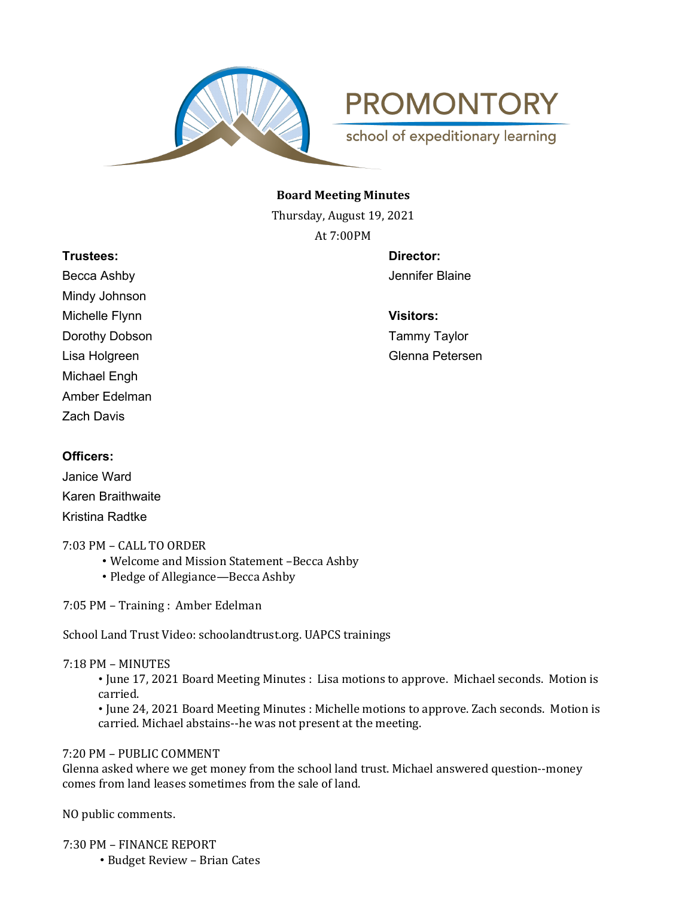

**PROMONTORY** 

school of expeditionary learning

## **Board Meeting Minutes**

Thursday, August 19, 2021 At 7:00PM

# **Trustees: Director:**

Becca Ashby **Becca Ashby** Jennifer Blaine Mindy Johnson Michelle Flynn **Visitors:** Dorothy Dobson **Tammy Taylor** Michael Engh Amber Edelman Zach Davis

Lisa Holgreen Glenna Petersen

# **Officers:**

Janice Ward Karen Braithwaite Kristina Radtke

## 7:03 PM – CALL TO ORDER

- Welcome and Mission Statement –Becca Ashby
- Pledge of Allegiance—Becca Ashby

7:05 PM – Training : Amber Edelman

School Land Trust Video: schoolandtrust.org. UAPCS trainings

## 7:18 PM – MINUTES

• June 17, 2021 Board Meeting Minutes : Lisa motions to approve. Michael seconds. Motion is carried.

• June 24, 2021 Board Meeting Minutes : Michelle motions to approve. Zach seconds. Motion is carried. Michael abstains--he was not present at the meeting.

# 7:20 PM – PUBLIC COMMENT

Glenna asked where we get money from the school land trust. Michael answered question--money comes from land leases sometimes from the sale of land.

NO public comments.

7:30 PM – FINANCE REPORT

• Budget Review – Brian Cates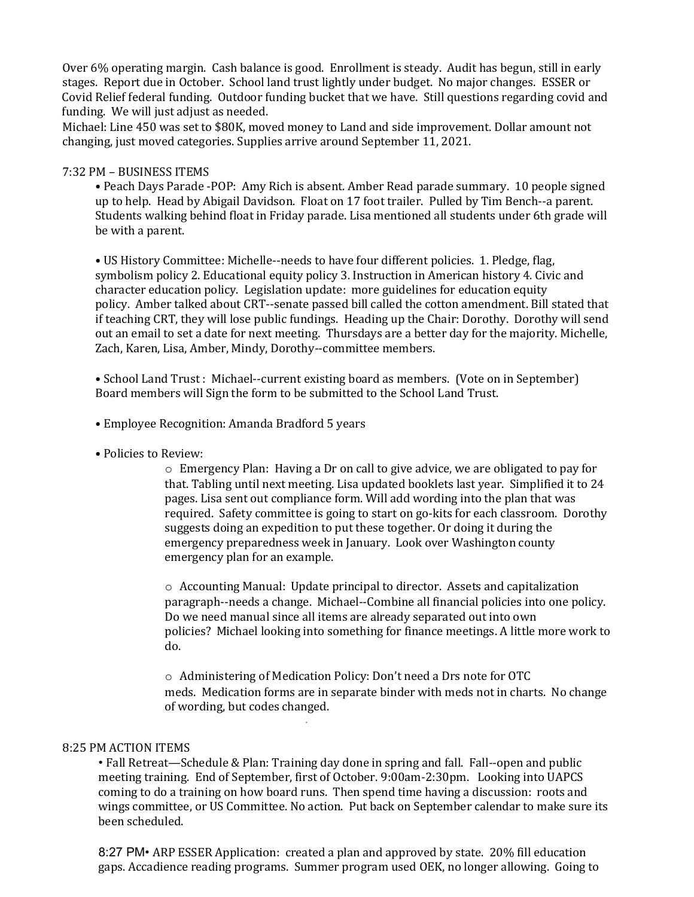Over 6% operating margin. Cash balance is good. Enrollment is steady. Audit has begun, still in early stages. Report due in October. School land trust lightly under budget. No major changes. ESSER or Covid Relief federal funding. Outdoor funding bucket that we have. Still questions regarding covid and funding. We will just adjust as needed.

Michael: Line 450 was set to \$80K, moved money to Land and side improvement. Dollar amount not changing, just moved categories. Supplies arrive around September 11, 2021.

#### 7:32 PM – BUSINESS ITEMS

• Peach Days Parade -POP: Amy Rich is absent. Amber Read parade summary. 10 people signed up to help. Head by Abigail Davidson. Float on 17 foot trailer. Pulled by Tim Bench--a parent. Students walking behind float in Friday parade. Lisa mentioned all students under 6th grade will be with a parent.

• US History Committee: Michelle--needs to have four different policies. 1. Pledge, flag, symbolism policy 2. Educational equity policy 3. Instruction in American history 4. Civic and character education policy. Legislation update: more guidelines for education equity policy. Amber talked about CRT--senate passed bill called the cotton amendment. Bill stated that if teaching CRT, they will lose public fundings. Heading up the Chair: Dorothy. Dorothy will send out an email to set a date for next meeting. Thursdays are a better day for the majority. Michelle, Zach, Karen, Lisa, Amber, Mindy, Dorothy--committee members.

• School Land Trust : Michael--current existing board as members. (Vote on in September) Board members will Sign the form to be submitted to the School Land Trust.

- Employee Recognition: Amanda Bradford 5 years
- Policies to Review:

 $\circ$  Emergency Plan: Having a Dr on call to give advice, we are obligated to pay for that. Tabling until next meeting. Lisa updated booklets last year. Simplified it to 24 pages. Lisa sent out compliance form. Will add wording into the plan that was required. Safety committee is going to start on go-kits for each classroom. Dorothy suggests doing an expedition to put these together. Or doing it during the emergency preparedness week in January. Look over Washington county emergency plan for an example.

 $\circ$  Accounting Manual: Update principal to director. Assets and capitalization paragraph--needs a change. Michael--Combine all financial policies into one policy. Do we need manual since all items are already separated out into own policies? Michael looking into something for finance meetings. A little more work to do.

o Administering of Medication Policy: Don't need a Drs note for OTC meds. Medication forms are in separate binder with meds not in charts. No change of wording, but codes changed. *.*

#### 8:25 PM ACTION ITEMS

• Fall Retreat—Schedule & Plan: Training day done in spring and fall. Fall--open and public meeting training. End of September, first of October. 9:00am-2:30pm. Looking into UAPCS coming to do a training on how board runs. Then spend time having a discussion: roots and wings committee, or US Committee. No action. Put back on September calendar to make sure its been scheduled.

8:27 PM• ARP ESSER Application: created a plan and approved by state. 20% fill education gaps. Accadience reading programs. Summer program used OEK, no longer allowing. Going to